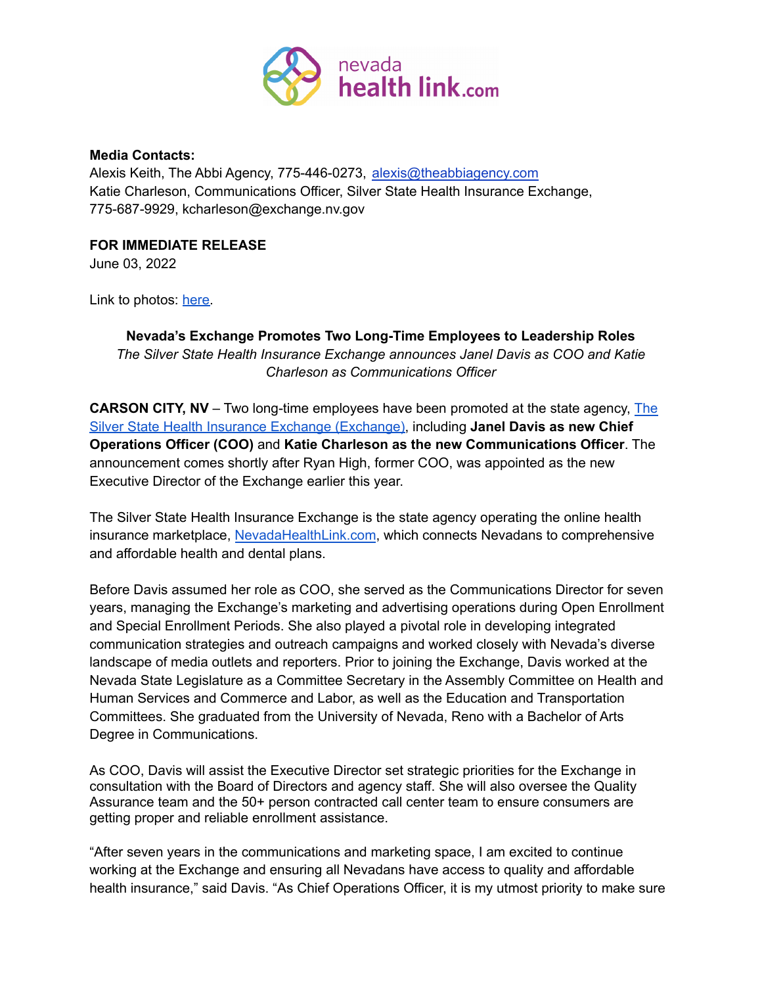

## **Media Contacts:**

Alexis Keith, The Abbi Agency, 775-446-0273, alexis@theabbiagency.com Katie Charleson, Communications Officer, Silver State Health Insurance Exchange, 775-687-9929, kcharleson@exchange.nv.gov

## **FOR IMMEDIATE RELEASE**

June 03, 2022

Link to photos: [here.](https://drive.google.com/drive/folders/1NUDBTTC4DIZJe3HugG_mC4vC0iXqXKQ5?usp=sharing)

## **Nevada's Exchange Promotes Two Long-Time Employees to Leadership Roles** *The Silver State Health Insurance Exchange announces Janel Davis as COO and Katie Charleson as Communications Officer*

**CARSON CITY, NV** – Two long-time employees have been promoted at the state agency, The Silver State Health Insurance Exchange (Exchange), including **Janel Davis as new Chief Operations Officer (COO)** and **Katie Charleson as the new Communications Officer**. The announcement comes shortly after Ryan High, former COO, was appointed as the new Executive Director of the Exchange earlier this year.

The Silver State Health Insurance Exchange is the state agency operating the online health insurance marketplace, [NevadaHealthLink.com](http://www.nevadahealthlink.com), which connects Nevadans to comprehensive and affordable health and dental plans.

Before Davis assumed her role as COO, she served as the Communications Director for seven years, managing the Exchange's marketing and advertising operations during Open Enrollment and Special Enrollment Periods. She also played a pivotal role in developing integrated communication strategies and outreach campaigns and worked closely with Nevada's diverse landscape of media outlets and reporters. Prior to joining the Exchange, Davis worked at the Nevada State Legislature as a Committee Secretary in the Assembly Committee on Health and Human Services and Commerce and Labor, as well as the Education and Transportation Committees. She graduated from the University of Nevada, Reno with a Bachelor of Arts Degree in Communications.

As COO, Davis will assist the Executive Director set strategic priorities for the Exchange in consultation with the Board of Directors and agency staff. She will also oversee the Quality Assurance team and the 50+ person contracted call center team to ensure consumers are getting proper and reliable enrollment assistance.

"After seven years in the communications and marketing space, I am excited to continue working at the Exchange and ensuring all Nevadans have access to quality and affordable health insurance," said Davis. "As Chief Operations Officer, it is my utmost priority to make sure